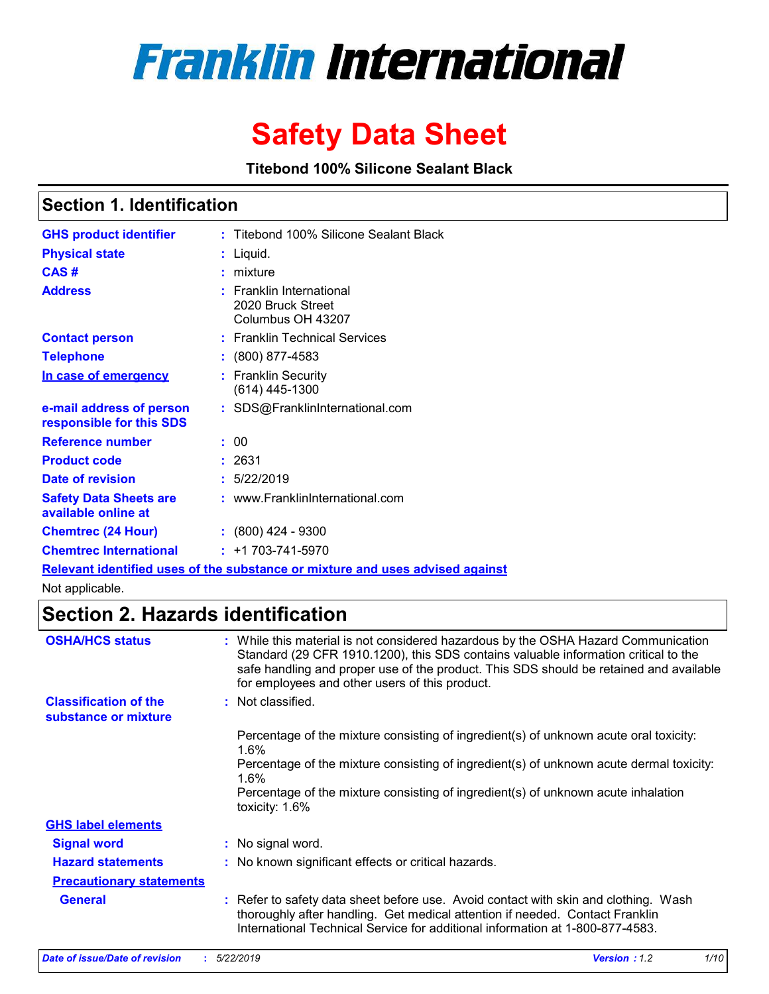

# **Safety Data Sheet**

**Titebond 100% Silicone Sealant Black**

### **Section 1. Identification**

| <b>GHS product identifier</b>                        | : Titebond 100% Silicone Sealant Black                                        |
|------------------------------------------------------|-------------------------------------------------------------------------------|
| <b>Physical state</b>                                | : Liquid.                                                                     |
| CAS#                                                 | $:$ mixture                                                                   |
| <b>Address</b>                                       | : Franklin International<br>2020 Bruck Street<br>Columbus OH 43207            |
| <b>Contact person</b>                                | : Franklin Technical Services                                                 |
| <b>Telephone</b>                                     | : (800) 877-4583                                                              |
| In case of emergency                                 | : Franklin Security<br>$(614)$ 445-1300                                       |
| e-mail address of person<br>responsible for this SDS | : SDS@FranklinInternational.com                                               |
| <b>Reference number</b>                              | : 00                                                                          |
| <b>Product code</b>                                  | : 2631                                                                        |
| Date of revision                                     | : 5/22/2019                                                                   |
| <b>Safety Data Sheets are</b><br>available online at | : www.FranklinInternational.com                                               |
| <b>Chemtrec (24 Hour)</b>                            | $\div$ (800) 424 - 9300                                                       |
| <b>Chemtrec International</b>                        | $: +1703 - 741 - 5970$                                                        |
|                                                      | Relevant identified uses of the substance or mixture and uses advised against |

Not applicable.

### **Section 2. Hazards identification**

| <b>OSHA/HCS status</b>                               | : While this material is not considered hazardous by the OSHA Hazard Communication<br>Standard (29 CFR 1910.1200), this SDS contains valuable information critical to the<br>safe handling and proper use of the product. This SDS should be retained and available<br>for employees and other users of this product. |
|------------------------------------------------------|-----------------------------------------------------------------------------------------------------------------------------------------------------------------------------------------------------------------------------------------------------------------------------------------------------------------------|
| <b>Classification of the</b><br>substance or mixture | : Not classified.                                                                                                                                                                                                                                                                                                     |
|                                                      | Percentage of the mixture consisting of ingredient(s) of unknown acute oral toxicity:<br>$1.6\%$                                                                                                                                                                                                                      |
|                                                      | Percentage of the mixture consisting of ingredient(s) of unknown acute dermal toxicity:<br>$1.6\%$                                                                                                                                                                                                                    |
|                                                      | Percentage of the mixture consisting of ingredient(s) of unknown acute inhalation<br>toxicity: 1.6%                                                                                                                                                                                                                   |
| <b>GHS label elements</b>                            |                                                                                                                                                                                                                                                                                                                       |
| <b>Signal word</b>                                   | : No signal word.                                                                                                                                                                                                                                                                                                     |
| <b>Hazard statements</b>                             | : No known significant effects or critical hazards.                                                                                                                                                                                                                                                                   |
| <b>Precautionary statements</b>                      |                                                                                                                                                                                                                                                                                                                       |
| <b>General</b>                                       | : Refer to safety data sheet before use. Avoid contact with skin and clothing. Wash<br>thoroughly after handling. Get medical attention if needed. Contact Franklin<br>International Technical Service for additional information at 1-800-877-4583.                                                                  |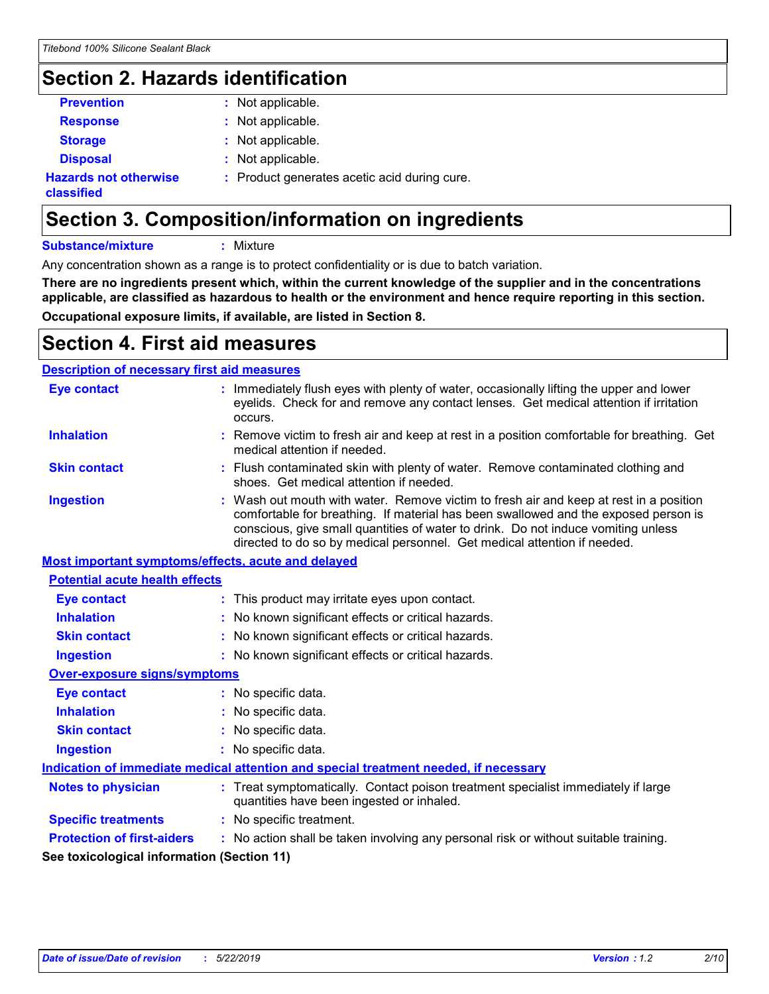## **Section 2. Hazards identification**

| classified                   |                                              |
|------------------------------|----------------------------------------------|
| <b>Hazards not otherwise</b> | : Product generates acetic acid during cure. |
| <b>Disposal</b>              | : Not applicable.                            |
| <b>Storage</b>               | : Not applicable.                            |
| <b>Response</b>              | : Not applicable.                            |
| <b>Prevention</b>            | : Not applicable.                            |

## **Section 3. Composition/information on ingredients**

**Substance/mixture :** Mixture

Any concentration shown as a range is to protect confidentiality or is due to batch variation.

**There are no ingredients present which, within the current knowledge of the supplier and in the concentrations applicable, are classified as hazardous to health or the environment and hence require reporting in this section. Occupational exposure limits, if available, are listed in Section 8.**

### **Section 4. First aid measures**

### **Description of necessary first aid measures**

| <b>Eye contact</b>                                                                   |  | : Immediately flush eyes with plenty of water, occasionally lifting the upper and lower<br>eyelids. Check for and remove any contact lenses. Get medical attention if irritation<br>occurs.                                                                                                                                                    |
|--------------------------------------------------------------------------------------|--|------------------------------------------------------------------------------------------------------------------------------------------------------------------------------------------------------------------------------------------------------------------------------------------------------------------------------------------------|
| <b>Inhalation</b>                                                                    |  | : Remove victim to fresh air and keep at rest in a position comfortable for breathing. Get<br>medical attention if needed.                                                                                                                                                                                                                     |
| <b>Skin contact</b>                                                                  |  | : Flush contaminated skin with plenty of water. Remove contaminated clothing and<br>shoes. Get medical attention if needed.                                                                                                                                                                                                                    |
| <b>Ingestion</b>                                                                     |  | : Wash out mouth with water. Remove victim to fresh air and keep at rest in a position<br>comfortable for breathing. If material has been swallowed and the exposed person is<br>conscious, give small quantities of water to drink. Do not induce vomiting unless<br>directed to do so by medical personnel. Get medical attention if needed. |
| Most important symptoms/effects, acute and delayed                                   |  |                                                                                                                                                                                                                                                                                                                                                |
| <b>Potential acute health effects</b>                                                |  |                                                                                                                                                                                                                                                                                                                                                |
| <b>Eye contact</b>                                                                   |  | : This product may irritate eyes upon contact.                                                                                                                                                                                                                                                                                                 |
| <b>Inhalation</b>                                                                    |  | : No known significant effects or critical hazards.                                                                                                                                                                                                                                                                                            |
| <b>Skin contact</b>                                                                  |  | : No known significant effects or critical hazards.                                                                                                                                                                                                                                                                                            |
| <b>Ingestion</b>                                                                     |  | : No known significant effects or critical hazards.                                                                                                                                                                                                                                                                                            |
| <b>Over-exposure signs/symptoms</b>                                                  |  |                                                                                                                                                                                                                                                                                                                                                |
| <b>Eye contact</b>                                                                   |  | : No specific data.                                                                                                                                                                                                                                                                                                                            |
| <b>Inhalation</b>                                                                    |  | : No specific data.                                                                                                                                                                                                                                                                                                                            |
| <b>Skin contact</b>                                                                  |  | : No specific data.                                                                                                                                                                                                                                                                                                                            |
| <b>Ingestion</b>                                                                     |  | : No specific data.                                                                                                                                                                                                                                                                                                                            |
| Indication of immediate medical attention and special treatment needed, if necessary |  |                                                                                                                                                                                                                                                                                                                                                |
| <b>Notes to physician</b>                                                            |  | : Treat symptomatically. Contact poison treatment specialist immediately if large<br>quantities have been ingested or inhaled.                                                                                                                                                                                                                 |
| <b>Specific treatments</b>                                                           |  | : No specific treatment.                                                                                                                                                                                                                                                                                                                       |
| <b>Protection of first-aiders</b>                                                    |  | : No action shall be taken involving any personal risk or without suitable training.                                                                                                                                                                                                                                                           |
| See toxicological information (Section 11)                                           |  |                                                                                                                                                                                                                                                                                                                                                |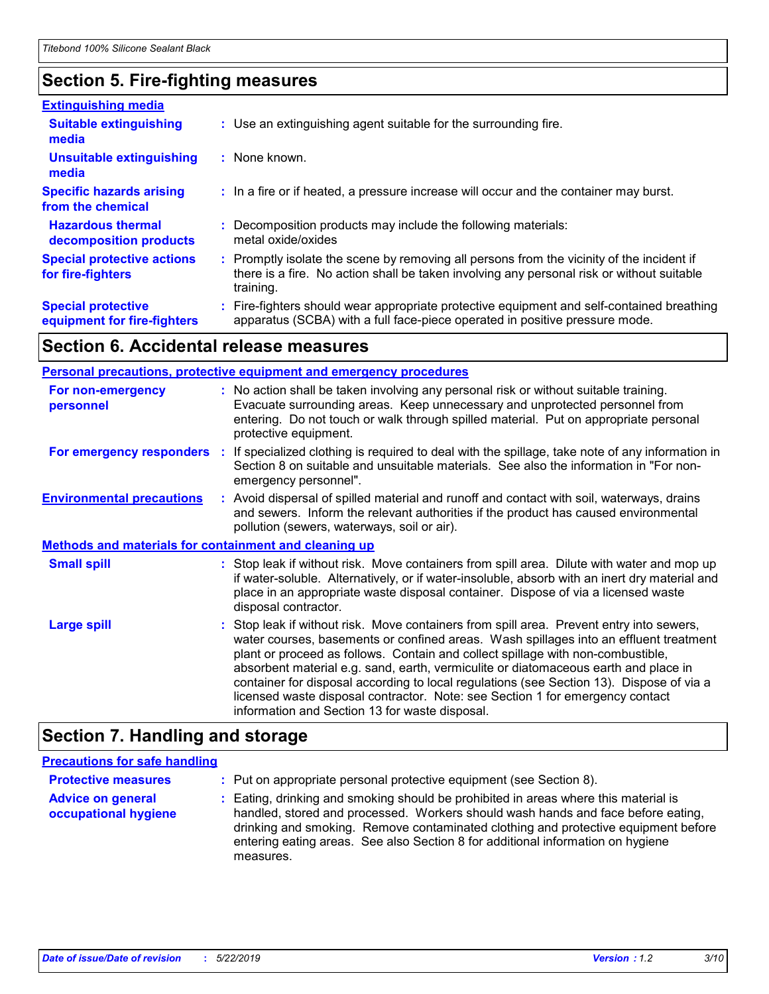### **Section 5. Fire-fighting measures**

| <b>Extinguishing media</b>                               |                                                                                                                                                                                                     |
|----------------------------------------------------------|-----------------------------------------------------------------------------------------------------------------------------------------------------------------------------------------------------|
| <b>Suitable extinguishing</b><br>media                   | : Use an extinguishing agent suitable for the surrounding fire.                                                                                                                                     |
| <b>Unsuitable extinguishing</b><br>media                 | $:$ None known.                                                                                                                                                                                     |
| <b>Specific hazards arising</b><br>from the chemical     | : In a fire or if heated, a pressure increase will occur and the container may burst.                                                                                                               |
| <b>Hazardous thermal</b><br>decomposition products       | : Decomposition products may include the following materials:<br>metal oxide/oxides                                                                                                                 |
| <b>Special protective actions</b><br>for fire-fighters   | : Promptly isolate the scene by removing all persons from the vicinity of the incident if<br>there is a fire. No action shall be taken involving any personal risk or without suitable<br>training. |
| <b>Special protective</b><br>equipment for fire-fighters | Fire-fighters should wear appropriate protective equipment and self-contained breathing<br>apparatus (SCBA) with a full face-piece operated in positive pressure mode.                              |

### **Section 6. Accidental release measures**

| <b>Personal precautions, protective equipment and emergency procedures</b> |  |                                                                                                                                                                                                                                                                                                                                                                                                                                                                                                                                                                                            |
|----------------------------------------------------------------------------|--|--------------------------------------------------------------------------------------------------------------------------------------------------------------------------------------------------------------------------------------------------------------------------------------------------------------------------------------------------------------------------------------------------------------------------------------------------------------------------------------------------------------------------------------------------------------------------------------------|
| For non-emergency<br>personnel                                             |  | : No action shall be taken involving any personal risk or without suitable training.<br>Evacuate surrounding areas. Keep unnecessary and unprotected personnel from<br>entering. Do not touch or walk through spilled material. Put on appropriate personal<br>protective equipment.                                                                                                                                                                                                                                                                                                       |
|                                                                            |  | For emergency responders : If specialized clothing is required to deal with the spillage, take note of any information in<br>Section 8 on suitable and unsuitable materials. See also the information in "For non-<br>emergency personnel".                                                                                                                                                                                                                                                                                                                                                |
| <b>Environmental precautions</b>                                           |  | : Avoid dispersal of spilled material and runoff and contact with soil, waterways, drains<br>and sewers. Inform the relevant authorities if the product has caused environmental<br>pollution (sewers, waterways, soil or air).                                                                                                                                                                                                                                                                                                                                                            |
| <b>Methods and materials for containment and cleaning up</b>               |  |                                                                                                                                                                                                                                                                                                                                                                                                                                                                                                                                                                                            |
| <b>Small spill</b>                                                         |  | : Stop leak if without risk. Move containers from spill area. Dilute with water and mop up<br>if water-soluble. Alternatively, or if water-insoluble, absorb with an inert dry material and<br>place in an appropriate waste disposal container. Dispose of via a licensed waste<br>disposal contractor.                                                                                                                                                                                                                                                                                   |
| <b>Large spill</b>                                                         |  | : Stop leak if without risk. Move containers from spill area. Prevent entry into sewers,<br>water courses, basements or confined areas. Wash spillages into an effluent treatment<br>plant or proceed as follows. Contain and collect spillage with non-combustible,<br>absorbent material e.g. sand, earth, vermiculite or diatomaceous earth and place in<br>container for disposal according to local regulations (see Section 13). Dispose of via a<br>licensed waste disposal contractor. Note: see Section 1 for emergency contact<br>information and Section 13 for waste disposal. |

### **Section 7. Handling and storage**

### **Precautions for safe handling**

| <b>Protective measures</b><br><b>Advice on general</b><br>occupational hygiene | : Put on appropriate personal protective equipment (see Section 8).<br>: Eating, drinking and smoking should be prohibited in areas where this material is<br>handled, stored and processed. Workers should wash hands and face before eating,<br>drinking and smoking. Remove contaminated clothing and protective equipment before<br>entering eating areas. See also Section 8 for additional information on hygiene |
|--------------------------------------------------------------------------------|-------------------------------------------------------------------------------------------------------------------------------------------------------------------------------------------------------------------------------------------------------------------------------------------------------------------------------------------------------------------------------------------------------------------------|
|                                                                                | measures.                                                                                                                                                                                                                                                                                                                                                                                                               |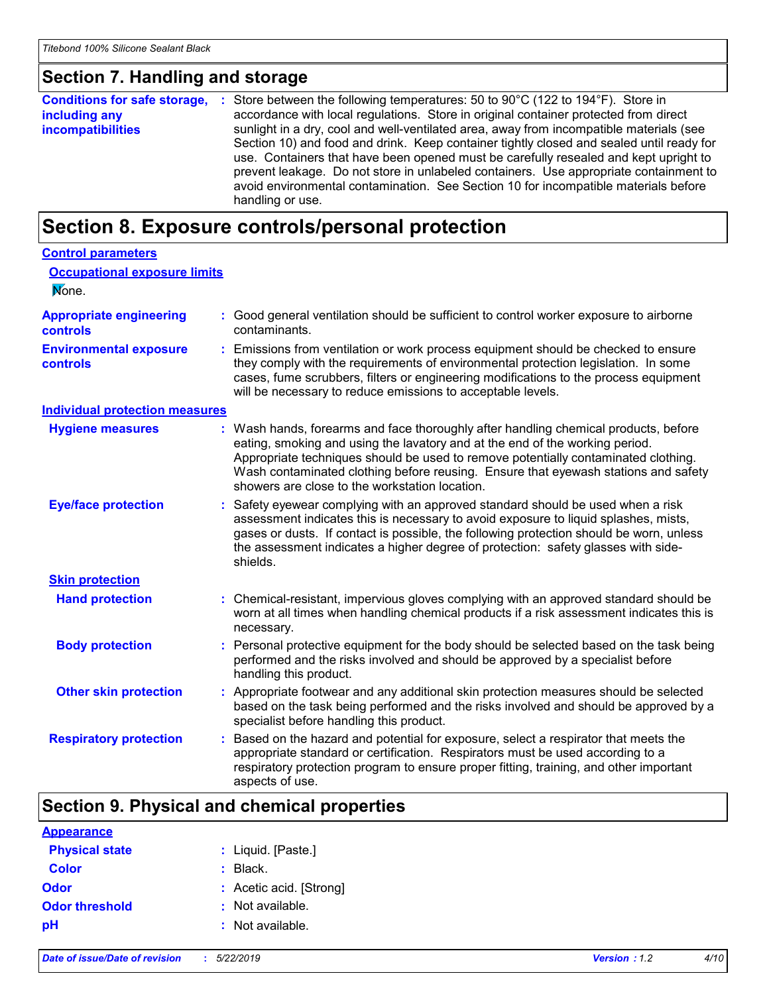### **Section 7. Handling and storage**

| <b>Conditions for safe storage,</b>       | : Store between the following temperatures: 50 to 90°C (122 to 194°F). Store in                                                                                                                                                                                                                                                                                                                                                                                                                                                                                         |
|-------------------------------------------|-------------------------------------------------------------------------------------------------------------------------------------------------------------------------------------------------------------------------------------------------------------------------------------------------------------------------------------------------------------------------------------------------------------------------------------------------------------------------------------------------------------------------------------------------------------------------|
| including any<br><b>incompatibilities</b> | accordance with local regulations. Store in original container protected from direct<br>sunlight in a dry, cool and well-ventilated area, away from incompatible materials (see<br>Section 10) and food and drink. Keep container tightly closed and sealed until ready for<br>use. Containers that have been opened must be carefully resealed and kept upright to<br>prevent leakage. Do not store in unlabeled containers. Use appropriate containment to<br>avoid environmental contamination. See Section 10 for incompatible materials before<br>handling or use. |

## **Section 8. Exposure controls/personal protection**

| <b>Control parameters</b>                  |    |                                                                                                                                                                                                                                                                                                                                                                                                 |
|--------------------------------------------|----|-------------------------------------------------------------------------------------------------------------------------------------------------------------------------------------------------------------------------------------------------------------------------------------------------------------------------------------------------------------------------------------------------|
| <b>Occupational exposure limits</b>        |    |                                                                                                                                                                                                                                                                                                                                                                                                 |
| None.                                      |    |                                                                                                                                                                                                                                                                                                                                                                                                 |
| <b>Appropriate engineering</b><br>controls |    | : Good general ventilation should be sufficient to control worker exposure to airborne<br>contaminants.                                                                                                                                                                                                                                                                                         |
| <b>Environmental exposure</b><br>controls  |    | Emissions from ventilation or work process equipment should be checked to ensure<br>they comply with the requirements of environmental protection legislation. In some<br>cases, fume scrubbers, filters or engineering modifications to the process equipment<br>will be necessary to reduce emissions to acceptable levels.                                                                   |
| <b>Individual protection measures</b>      |    |                                                                                                                                                                                                                                                                                                                                                                                                 |
| <b>Hygiene measures</b>                    |    | Wash hands, forearms and face thoroughly after handling chemical products, before<br>eating, smoking and using the lavatory and at the end of the working period.<br>Appropriate techniques should be used to remove potentially contaminated clothing.<br>Wash contaminated clothing before reusing. Ensure that eyewash stations and safety<br>showers are close to the workstation location. |
| <b>Eye/face protection</b>                 |    | Safety eyewear complying with an approved standard should be used when a risk<br>assessment indicates this is necessary to avoid exposure to liquid splashes, mists,<br>gases or dusts. If contact is possible, the following protection should be worn, unless<br>the assessment indicates a higher degree of protection: safety glasses with side-<br>shields.                                |
| <b>Skin protection</b>                     |    |                                                                                                                                                                                                                                                                                                                                                                                                 |
| <b>Hand protection</b>                     |    | : Chemical-resistant, impervious gloves complying with an approved standard should be<br>worn at all times when handling chemical products if a risk assessment indicates this is<br>necessary.                                                                                                                                                                                                 |
| <b>Body protection</b>                     | ÷. | Personal protective equipment for the body should be selected based on the task being<br>performed and the risks involved and should be approved by a specialist before<br>handling this product.                                                                                                                                                                                               |
| <b>Other skin protection</b>               |    | Appropriate footwear and any additional skin protection measures should be selected<br>based on the task being performed and the risks involved and should be approved by a<br>specialist before handling this product.                                                                                                                                                                         |
| <b>Respiratory protection</b>              |    | Based on the hazard and potential for exposure, select a respirator that meets the<br>appropriate standard or certification. Respirators must be used according to a<br>respiratory protection program to ensure proper fitting, training, and other important<br>aspects of use.                                                                                                               |

## **Section 9. Physical and chemical properties**

| <b>Appearance</b>     |                         |
|-----------------------|-------------------------|
| <b>Physical state</b> | : Liquid. [Paste.]      |
| <b>Color</b>          | $:$ Black.              |
| Odor                  | : Acetic acid. [Strong] |
| <b>Odor threshold</b> | : Not available.        |
| рH                    | : Not available.        |
|                       |                         |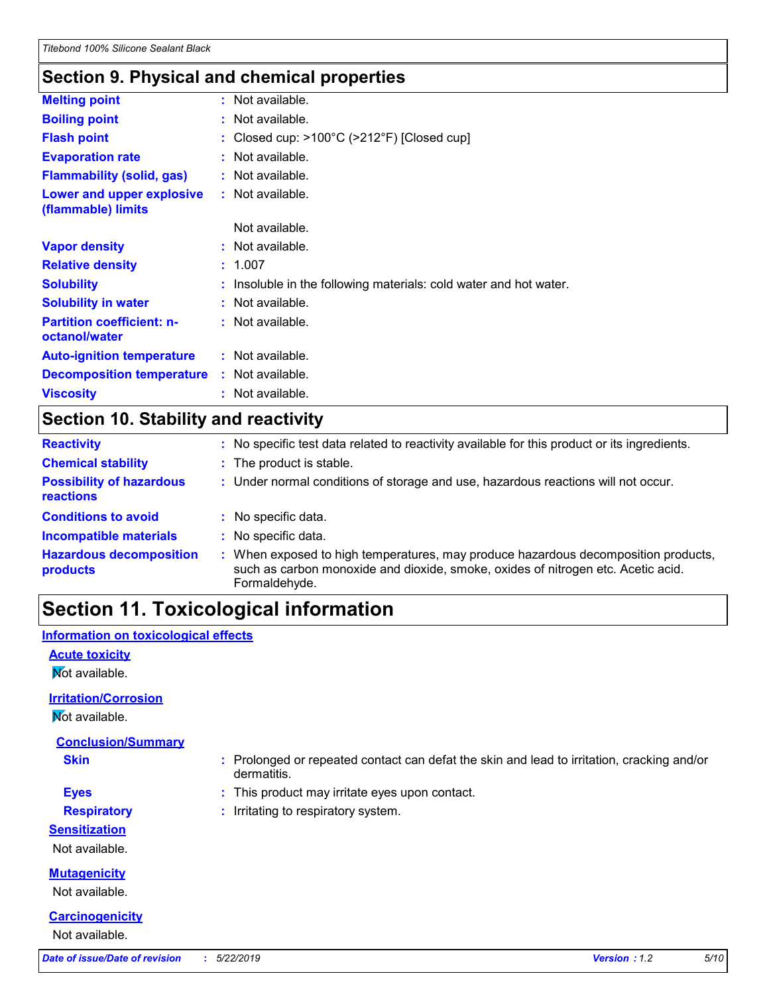### **Section 9. Physical and chemical properties**

| <b>Melting point</b>                              | : Not available.                                                  |
|---------------------------------------------------|-------------------------------------------------------------------|
| <b>Boiling point</b>                              | $:$ Not available.                                                |
| <b>Flash point</b>                                | : Closed cup: $>100^{\circ}$ C ( $>212^{\circ}$ F) [Closed cup]   |
| <b>Evaporation rate</b>                           | : Not available.                                                  |
| <b>Flammability (solid, gas)</b>                  | $:$ Not available.                                                |
| Lower and upper explosive<br>(flammable) limits   | $:$ Not available.                                                |
|                                                   | Not available.                                                    |
| <b>Vapor density</b>                              | $:$ Not available.                                                |
| <b>Relative density</b>                           | : 1.007                                                           |
| <b>Solubility</b>                                 | : Insoluble in the following materials: cold water and hot water. |
| <b>Solubility in water</b>                        | $:$ Not available.                                                |
| <b>Partition coefficient: n-</b><br>octanol/water | $:$ Not available.                                                |
| <b>Auto-ignition temperature</b>                  | : Not available.                                                  |
| <b>Decomposition temperature</b>                  | : Not available.                                                  |
| <b>Viscosity</b>                                  | $:$ Not available.                                                |
|                                                   |                                                                   |

### **Section 10. Stability and reactivity**

| <b>Reactivity</b>                            | : No specific test data related to reactivity available for this product or its ingredients.                                                                                          |
|----------------------------------------------|---------------------------------------------------------------------------------------------------------------------------------------------------------------------------------------|
| <b>Chemical stability</b>                    | : The product is stable.                                                                                                                                                              |
| <b>Possibility of hazardous</b><br>reactions | : Under normal conditions of storage and use, hazardous reactions will not occur.                                                                                                     |
| <b>Conditions to avoid</b>                   | : No specific data.                                                                                                                                                                   |
| <b>Incompatible materials</b>                | No specific data.                                                                                                                                                                     |
| <b>Hazardous decomposition</b><br>products   | When exposed to high temperatures, may produce hazardous decomposition products,<br>such as carbon monoxide and dioxide, smoke, oxides of nitrogen etc. Acetic acid.<br>Formaldehyde. |

## **Section 11. Toxicological information**

## **Acute toxicity Not available. Carcinogenicity** Not available. **Mutagenicity** Not available. **Irritation/Corrosion Not available. Conclusion/Summary Skin :** Prolonged or repeated contact can defat the skin and lead to irritation, cracking and/or dermatitis. **Eyes :** This product may irritate eyes upon contact. **Respiratory :** Irritating to respiratory system. **Sensitization** Not available. **Information on toxicological effects** *Date of issue/Date of revision* **:** *5/22/2019 Version : 1.2 5/10*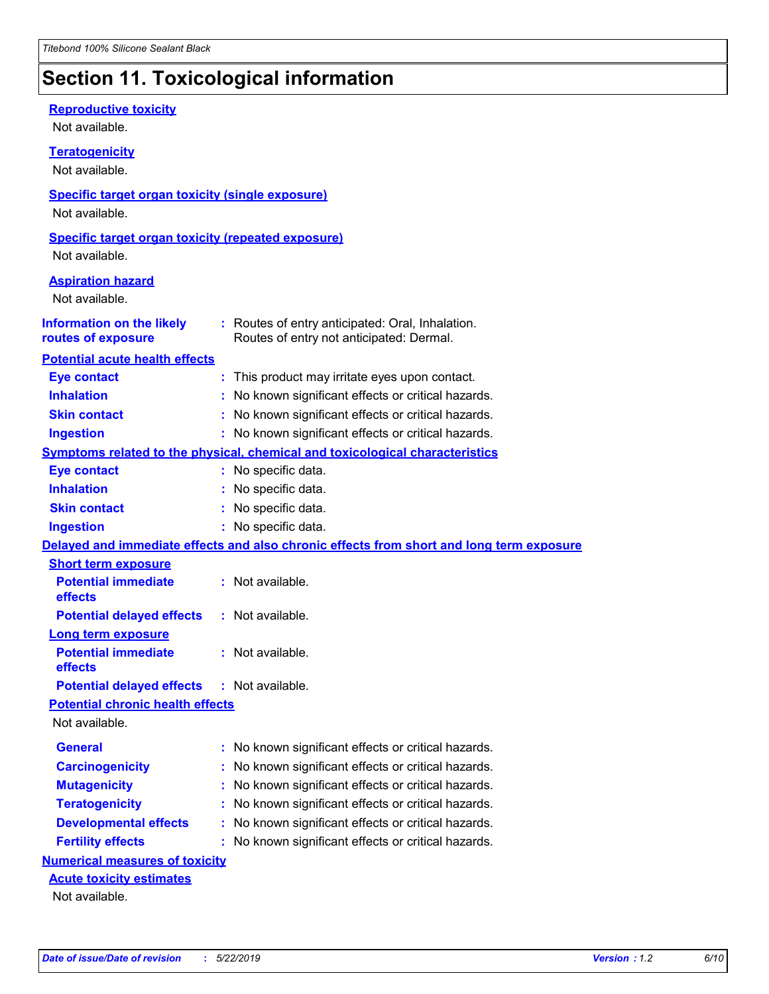## **Section 11. Toxicological information**

| <b>Reproductive toxicity</b><br>Not available.                              |                                                                                              |
|-----------------------------------------------------------------------------|----------------------------------------------------------------------------------------------|
| <b>Teratogenicity</b><br>Not available.                                     |                                                                                              |
| <b>Specific target organ toxicity (single exposure)</b><br>Not available.   |                                                                                              |
| <b>Specific target organ toxicity (repeated exposure)</b><br>Not available. |                                                                                              |
| <b>Aspiration hazard</b><br>Not available.                                  |                                                                                              |
| <b>Information on the likely</b><br>routes of exposure                      | : Routes of entry anticipated: Oral, Inhalation.<br>Routes of entry not anticipated: Dermal. |
| <b>Potential acute health effects</b>                                       |                                                                                              |
| <b>Eye contact</b>                                                          | : This product may irritate eyes upon contact.                                               |
| <b>Inhalation</b>                                                           | No known significant effects or critical hazards.                                            |
| <b>Skin contact</b>                                                         | No known significant effects or critical hazards.                                            |
| <b>Ingestion</b>                                                            | : No known significant effects or critical hazards.                                          |
|                                                                             | Symptoms related to the physical, chemical and toxicological characteristics                 |
| <b>Eye contact</b>                                                          | : No specific data.                                                                          |
| <b>Inhalation</b>                                                           | No specific data.                                                                            |
| <b>Skin contact</b>                                                         | : No specific data.                                                                          |
| <b>Ingestion</b>                                                            | : No specific data.                                                                          |
|                                                                             | Delayed and immediate effects and also chronic effects from short and long term exposure     |
| <b>Short term exposure</b>                                                  |                                                                                              |
| <b>Potential immediate</b><br>effects                                       | : Not available.                                                                             |
| <b>Potential delayed effects</b>                                            | : Not available.                                                                             |
| <b>Long term exposure</b>                                                   |                                                                                              |
| <b>Potential immediate</b><br>effects                                       | : Not available.                                                                             |
| <b>Potential delayed effects</b>                                            | : Not available.                                                                             |
| <b>Potential chronic health effects</b>                                     |                                                                                              |
| Not available.                                                              |                                                                                              |
| <b>General</b>                                                              | : No known significant effects or critical hazards.                                          |
| <b>Carcinogenicity</b>                                                      | No known significant effects or critical hazards.                                            |
| <b>Mutagenicity</b>                                                         | No known significant effects or critical hazards.                                            |
| <b>Teratogenicity</b>                                                       | No known significant effects or critical hazards.                                            |
| <b>Developmental effects</b>                                                | No known significant effects or critical hazards.                                            |
| <b>Fertility effects</b>                                                    | : No known significant effects or critical hazards.                                          |
| <b>Numerical measures of toxicity</b>                                       |                                                                                              |
| <b>Acute toxicity estimates</b>                                             |                                                                                              |
| Not available.                                                              |                                                                                              |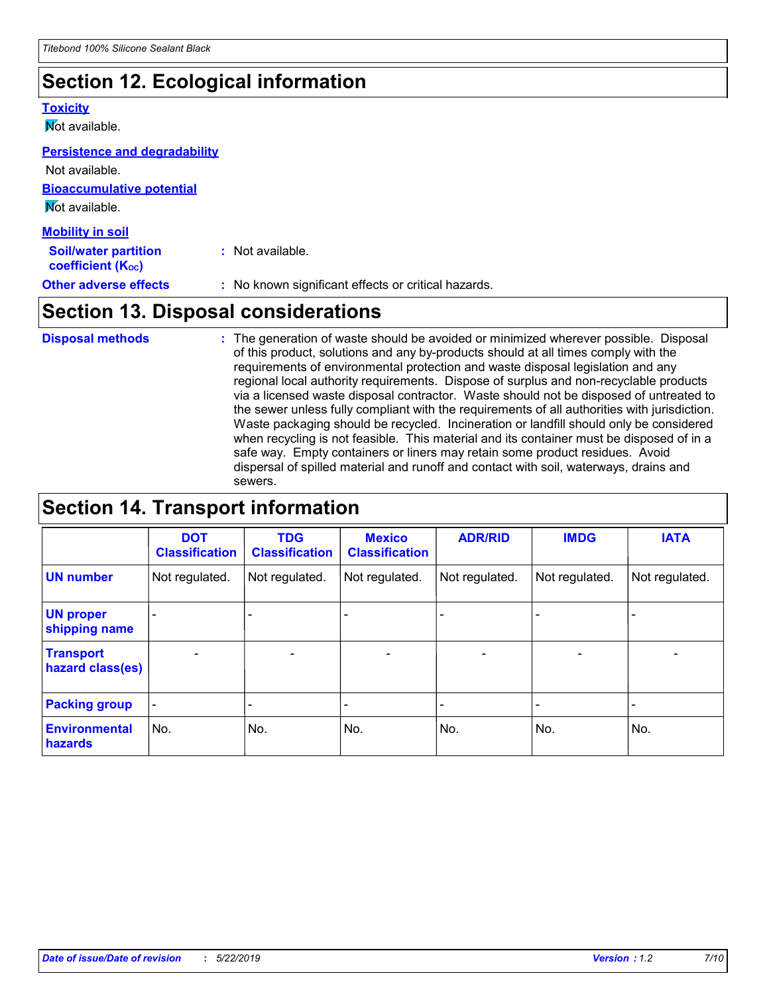## **Section 12. Ecological information**

### **Toxicity**

**Not available.** 

Not available.

#### **Persistence and degradability**

| $\overline{\phantom{a}}$                                |                                                     |
|---------------------------------------------------------|-----------------------------------------------------|
| <b>Other adverse effects</b>                            | : No known significant effects or critical hazards. |
| <b>Soil/water partition</b><br><b>coefficient (Koc)</b> | : Not available.                                    |
| <b>Mobility in soil</b>                                 |                                                     |
| Mot available.                                          |                                                     |
| <b>Bioaccumulative potential</b>                        |                                                     |
| <b>NOL available.</b>                                   |                                                     |

### **Section 13. Disposal considerations**

The generation of waste should be avoided or minimized wherever possible. Disposal of this product, solutions and any by-products should at all times comply with the requirements of environmental protection and waste disposal legislation and any regional local authority requirements. Dispose of surplus and non-recyclable products via a licensed waste disposal contractor. Waste should not be disposed of untreated to the sewer unless fully compliant with the requirements of all authorities with jurisdiction. Waste packaging should be recycled. Incineration or landfill should only be considered when recycling is not feasible. This material and its container must be disposed of in a safe way. Empty containers or liners may retain some product residues. Avoid dispersal of spilled material and runoff and contact with soil, waterways, drains and sewers. **Disposal methods :**

## **Section 14. Transport information**

|                                      | <b>DOT</b><br><b>Classification</b> | <b>TDG</b><br><b>Classification</b> | <b>Mexico</b><br><b>Classification</b> | <b>ADR/RID</b>               | <b>IMDG</b>              | <b>IATA</b>    |
|--------------------------------------|-------------------------------------|-------------------------------------|----------------------------------------|------------------------------|--------------------------|----------------|
| <b>UN number</b>                     | Not regulated.                      | Not regulated.                      | Not regulated.                         | Not regulated.               | Not regulated.           | Not regulated. |
| <b>UN proper</b><br>shipping name    |                                     |                                     |                                        |                              |                          |                |
| <b>Transport</b><br>hazard class(es) | $\overline{\phantom{0}}$            | $\overline{\phantom{0}}$            | $\overline{\phantom{0}}$               | $\qquad \qquad \blacksquare$ | $\overline{\phantom{0}}$ | $\blacksquare$ |
| <b>Packing group</b>                 | -                                   |                                     |                                        |                              |                          |                |
| <b>Environmental</b><br>hazards      | No.                                 | No.                                 | No.                                    | No.                          | No.                      | No.            |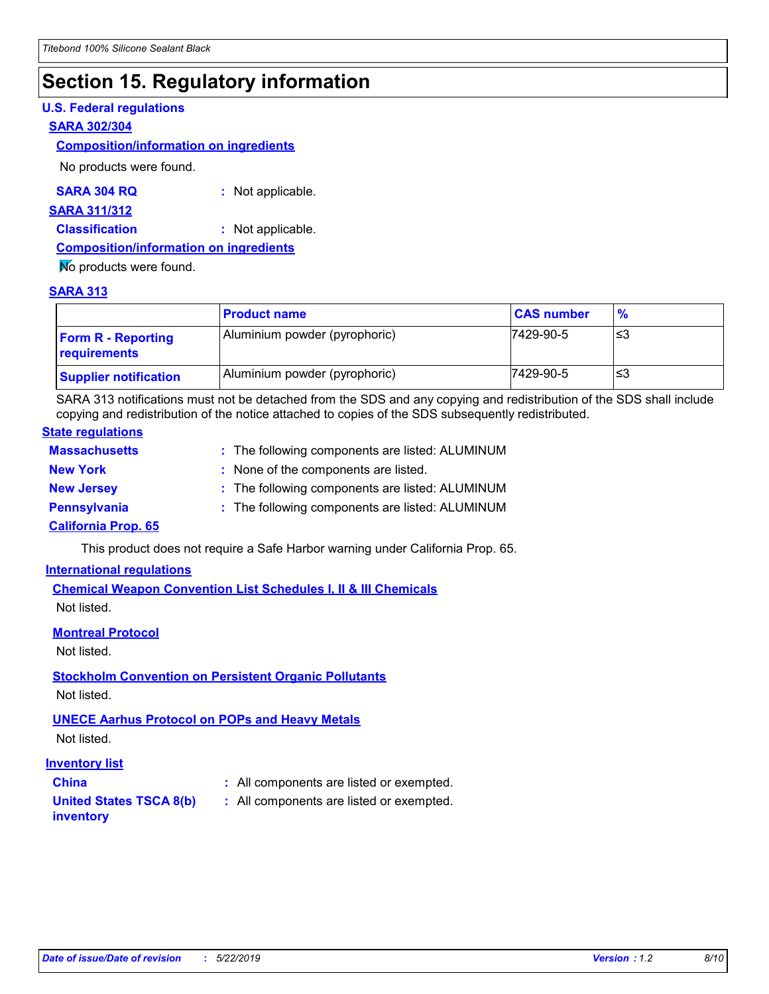## **Section 15. Regulatory information**

### **U.S. Federal regulations**

#### **SARA 302/304**

#### **Composition/information on ingredients**

No products were found.

| SARA 304 RQ | Not applicable. |
|-------------|-----------------|
|-------------|-----------------|

#### **SARA 311/312**

**Classification :** Not applicable.

#### **Composition/information on ingredients**

No products were found.

#### **SARA 313**

|                                           | <b>Product name</b>           | <b>CAS number</b> | $\frac{9}{6}$ |
|-------------------------------------------|-------------------------------|-------------------|---------------|
| <b>Form R - Reporting</b><br>requirements | Aluminium powder (pyrophoric) | 7429-90-5         | ≤3            |
| <b>Supplier notification</b>              | Aluminium powder (pyrophoric) | 7429-90-5         | ≤3            |

SARA 313 notifications must not be detached from the SDS and any copying and redistribution of the SDS shall include copying and redistribution of the notice attached to copies of the SDS subsequently redistributed.

### **State regulations**

| <b>Massachusetts</b>       | : The following components are listed: ALUMINUM |
|----------------------------|-------------------------------------------------|
| <b>New York</b>            | : None of the components are listed.            |
| <b>New Jersey</b>          | : The following components are listed: ALUMINUM |
| <b>Pennsylvania</b>        | : The following components are listed: ALUMINUM |
| <b>California Prop. 65</b> |                                                 |

This product does not require a Safe Harbor warning under California Prop. 65.

### **International regulations**

**Chemical Weapon Convention List Schedules I, II & III Chemicals** Not listed.

#### **Montreal Protocol**

Not listed.

### **Stockholm Convention on Persistent Organic Pollutants**

Not listed.

#### **UNECE Aarhus Protocol on POPs and Heavy Metals**

Not listed.

#### **Inventory list**

**United States TSCA 8(b) inventory**

- **China :** All components are listed or exempted.
	- **:** All components are listed or exempted.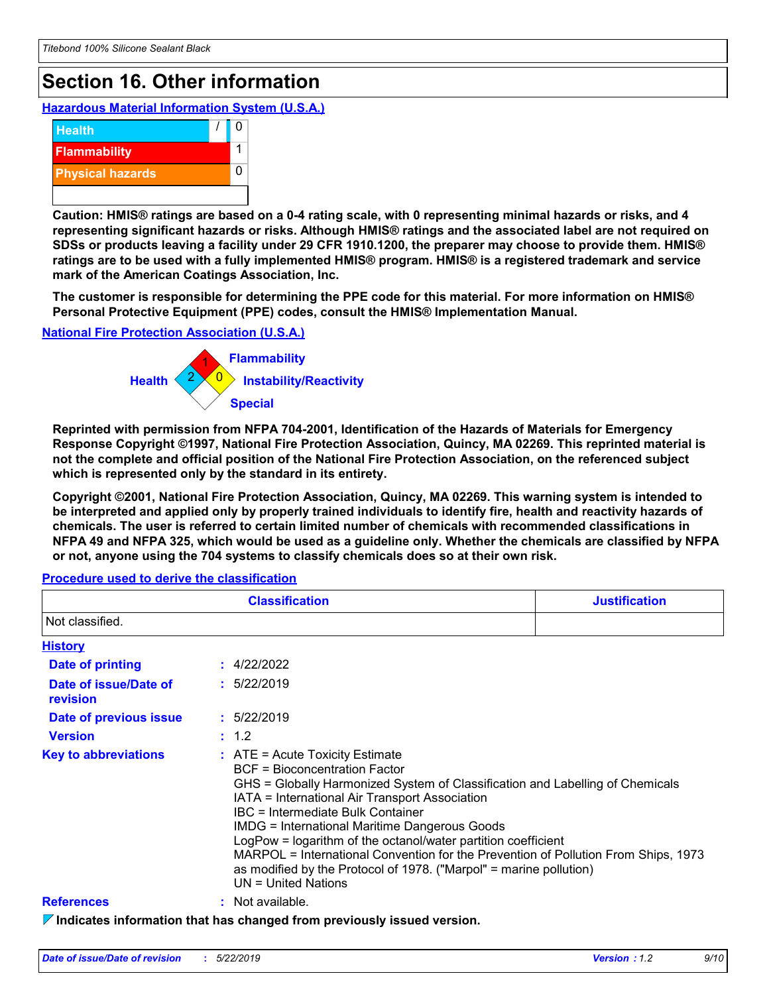## **Section 16. Other information**

**Hazardous Material Information System (U.S.A.)**



**Caution: HMIS® ratings are based on a 0-4 rating scale, with 0 representing minimal hazards or risks, and 4 representing significant hazards or risks. Although HMIS® ratings and the associated label are not required on SDSs or products leaving a facility under 29 CFR 1910.1200, the preparer may choose to provide them. HMIS® ratings are to be used with a fully implemented HMIS® program. HMIS® is a registered trademark and service mark of the American Coatings Association, Inc.**

**The customer is responsible for determining the PPE code for this material. For more information on HMIS® Personal Protective Equipment (PPE) codes, consult the HMIS® Implementation Manual.**

**National Fire Protection Association (U.S.A.)**



**Reprinted with permission from NFPA 704-2001, Identification of the Hazards of Materials for Emergency Response Copyright ©1997, National Fire Protection Association, Quincy, MA 02269. This reprinted material is not the complete and official position of the National Fire Protection Association, on the referenced subject which is represented only by the standard in its entirety.**

**Copyright ©2001, National Fire Protection Association, Quincy, MA 02269. This warning system is intended to be interpreted and applied only by properly trained individuals to identify fire, health and reactivity hazards of chemicals. The user is referred to certain limited number of chemicals with recommended classifications in NFPA 49 and NFPA 325, which would be used as a guideline only. Whether the chemicals are classified by NFPA or not, anyone using the 704 systems to classify chemicals does so at their own risk.**

|                                   | <b>Classification</b>                                                                                                                                                                                                                                                                                                                                                                                                                                                                                                                                    | <b>Justification</b> |
|-----------------------------------|----------------------------------------------------------------------------------------------------------------------------------------------------------------------------------------------------------------------------------------------------------------------------------------------------------------------------------------------------------------------------------------------------------------------------------------------------------------------------------------------------------------------------------------------------------|----------------------|
| Not classified.                   |                                                                                                                                                                                                                                                                                                                                                                                                                                                                                                                                                          |                      |
| <b>History</b>                    |                                                                                                                                                                                                                                                                                                                                                                                                                                                                                                                                                          |                      |
| Date of printing                  | $\div$ 4/22/2022                                                                                                                                                                                                                                                                                                                                                                                                                                                                                                                                         |                      |
| Date of issue/Date of<br>revision | : 5/22/2019                                                                                                                                                                                                                                                                                                                                                                                                                                                                                                                                              |                      |
| Date of previous issue            | : 5/22/2019                                                                                                                                                                                                                                                                                                                                                                                                                                                                                                                                              |                      |
| <b>Version</b>                    | : 1.2                                                                                                                                                                                                                                                                                                                                                                                                                                                                                                                                                    |                      |
| <b>Key to abbreviations</b>       | $:$ ATE = Acute Toxicity Estimate<br>BCF = Bioconcentration Factor<br>GHS = Globally Harmonized System of Classification and Labelling of Chemicals<br>IATA = International Air Transport Association<br>IBC = Intermediate Bulk Container<br><b>IMDG = International Maritime Dangerous Goods</b><br>LogPow = logarithm of the octanol/water partition coefficient<br>MARPOL = International Convention for the Prevention of Pollution From Ships, 1973<br>as modified by the Protocol of 1978. ("Marpol" = marine pollution)<br>$UN = United Nations$ |                      |
| <b>References</b>                 | : Not available.                                                                                                                                                                                                                                                                                                                                                                                                                                                                                                                                         |                      |
|                                   | $\triangledown$ Indicates information that has changed from previously issued version.                                                                                                                                                                                                                                                                                                                                                                                                                                                                   |                      |

### **Procedure used to derive the classification**

*Date of issue/Date of revision* **:** *5/22/2019 Version : 1.2 9/10*